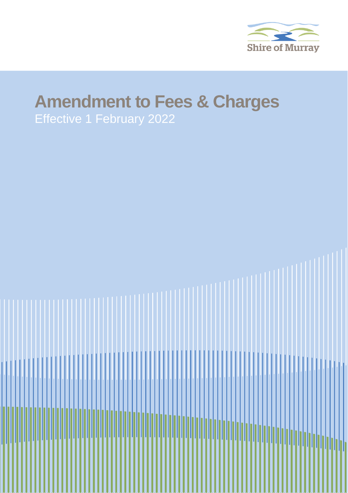

## **Amendment to Fees & Charges**

Effective 1 February 2022

**Document Name** Shire of Murray Page 1 of 2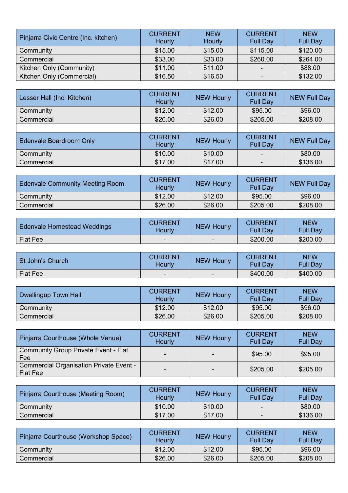| Pinjarra Civic Centre (Inc. kitchen) | <b>CURRENT</b><br>Hourly | <b>NEW</b><br>Hourly | <b>CURRENT</b><br><b>Full Day</b> | <b>NEW</b><br><b>Full Day</b> |
|--------------------------------------|--------------------------|----------------------|-----------------------------------|-------------------------------|
| Community                            | \$15.00                  | \$15.00              | \$115.00                          | \$120.00                      |
| Commercial                           | \$33.00                  | \$33.00              | \$260.00                          | \$264.00                      |
| Kitchen Only (Community)             | \$11.00                  | \$11.00              | $\overline{\phantom{a}}$          | \$88.00                       |
| Kitchen Only (Commercial)            | \$16.50                  | \$16.50              |                                   | \$132.00                      |

| Lesser Hall (Inc. Kitchen)     | <b>CURRENT</b><br>Hourly | <b>NEW Hourly</b> | <b>CURRENT</b><br><b>Full Day</b> | <b>NEW Full Day</b> |
|--------------------------------|--------------------------|-------------------|-----------------------------------|---------------------|
| Community                      | \$12.00                  | \$12.00           | \$95.00                           | \$96.00             |
| Commercial                     | \$26.00                  | \$26.00           | \$205.00                          | \$208.00            |
|                                |                          |                   |                                   |                     |
| <b>Edenvale Boardroom Only</b> | <b>CURRENT</b><br>Hourly | <b>NEW Hourly</b> | <b>CURRENT</b><br><b>Full Day</b> | <b>NEW Full Day</b> |
| Community                      | \$10.00                  | \$10.00           | -                                 | \$80.00             |
| Commercial                     | \$17.00                  | \$17.00           |                                   | \$136.00            |

| <b>Edenvale Community Meeting Room</b> | CURRENT<br>Hourly | <b>NEW Hourly</b> | <b>CURRENT</b><br><b>Full Day</b> | <b>NEW Full Day</b> |
|----------------------------------------|-------------------|-------------------|-----------------------------------|---------------------|
| Community                              | \$12.00           | \$12.00           | \$95.00                           | \$96.00             |
| Commercial                             | \$26.00           | \$26.00           | \$205.00                          | \$208.00            |

| <b>Edenvale Homestead Weddings</b> | CURRENT<br>Hourlv | <b>NEW Hourly</b> | <b>CURRENT</b><br><b>Full Day</b> | <b>NEW</b><br>Full Dav |
|------------------------------------|-------------------|-------------------|-----------------------------------|------------------------|
| <b>Flat Fee</b>                    | $\,$              |                   | \$200.00                          | \$200.00               |

| St John's Church | CURRENT<br>Hourlv | <b>NEW Hourly</b> | <b>CURRENT</b><br><b>Full Day</b> | <b>NEW</b><br>Full Dav |
|------------------|-------------------|-------------------|-----------------------------------|------------------------|
| Flat Fee         | -                 | -                 | \$400.00                          | \$400.00               |

| Dwellingup Town Hall | <b>CURRENT</b><br><b>Hourly</b> | <b>NEW Hourly</b> | <b>CURRENT</b><br><b>Full Day</b> | <b>NEW</b><br><b>Full Day</b> |
|----------------------|---------------------------------|-------------------|-----------------------------------|-------------------------------|
| Community            | \$12.00                         | \$12.00           | \$95.00                           | \$96.00                       |
| Commercial           | \$26.00                         | \$26.00           | \$205.00                          | \$208.00                      |

| Pinjarra Courthouse (Whole Venue)                                 | <b>CURRENT</b><br>Hourly | <b>NEW Hourly</b>        | <b>CURRENT</b><br><b>Full Day</b> | <b>NEW</b><br><b>Full Day</b> |
|-------------------------------------------------------------------|--------------------------|--------------------------|-----------------------------------|-------------------------------|
| <b>Community Group Private Event - Flat</b><br>Fee                | $\overline{\phantom{0}}$ | $\overline{\phantom{0}}$ | \$95.00                           | \$95.00                       |
| <b>Commercial Organisation Private Event -</b><br><b>Flat Fee</b> |                          |                          | \$205.00                          | \$205.00                      |

| Pinjarra Courthouse (Meeting Room) | <b>CURRENT</b><br>Hourly | <b>NEW Hourly</b> | <b>CURRENT</b><br><b>Full Day</b> | <b>NEW</b><br><b>Full Dav</b> |
|------------------------------------|--------------------------|-------------------|-----------------------------------|-------------------------------|
| Community                          | \$10.00                  | \$10.00           | -                                 | \$80.00                       |
| Commercial                         | \$17.00                  | \$17.00           | $\overline{\phantom{a}}$          | \$136.00                      |

| Pinjarra Courthouse (Workshop Space) | <b>CURRENT</b><br>Hourlv | <b>NEW Hourly</b> | <b>CURRENT</b><br><b>Full Dav</b> | <b>NEW</b><br><b>Full Dav</b> |
|--------------------------------------|--------------------------|-------------------|-----------------------------------|-------------------------------|
| Community                            | \$12.00                  | \$12.00           | \$95.00                           | \$96.00                       |
| Commercial                           | \$26.00                  | \$26.00           | \$205.00                          | \$208.00                      |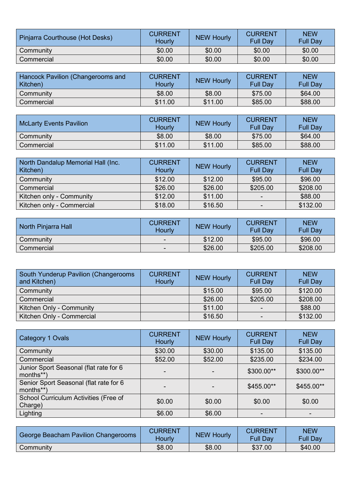| Pinjarra Courthouse (Hot Desks) | <b>CURRENT</b><br>Hourly | <b>NEW Hourly</b> | <b>CURRENT</b><br><b>Full Day</b> | <b>NEW</b><br><b>Full Dav</b> |
|---------------------------------|--------------------------|-------------------|-----------------------------------|-------------------------------|
| Community                       | \$0.00                   | \$0.00            | \$0.00                            | \$0.00                        |
| Commercial                      | \$0.00                   | \$0.00            | \$0.00                            | \$0.00                        |

| Hancock Pavilion (Changerooms and<br>Kitchen) | <b>CURRENT</b><br>Hourly | <b>NEW Hourly</b> | <b>CURRENT</b><br><b>Full Day</b> | <b>NEW</b><br><b>Full Day</b> |
|-----------------------------------------------|--------------------------|-------------------|-----------------------------------|-------------------------------|
| Community                                     | \$8.00                   | \$8.00            | \$75.00                           | \$64.00                       |
| Commercial                                    | \$11.00                  | \$11.00           | \$85.00                           | \$88.00                       |

| <b>McLarty Events Pavilion</b> | <b>CURRENT</b><br>Hourly | <b>NEW Hourly</b> | <b>CURRENT</b><br><b>Full Day</b> | <b>NEW</b><br><b>Full Day</b> |
|--------------------------------|--------------------------|-------------------|-----------------------------------|-------------------------------|
| Community                      | \$8.00                   | \$8.00            | \$75.00                           | \$64.00                       |
| Commercial                     | \$11.00                  | \$11.00           | \$85.00                           | \$88.00                       |

| North Dandalup Memorial Hall (Inc.<br>Kitchen) | <b>CURRENT</b><br>Hourly | NEW Hourly | <b>CURRENT</b><br><b>Full Day</b> | <b>NEW</b><br><b>Full Day</b> |
|------------------------------------------------|--------------------------|------------|-----------------------------------|-------------------------------|
| Community                                      | \$12.00                  | \$12.00    | \$95.00                           | \$96.00                       |
| Commercial                                     | \$26.00                  | \$26.00    | \$205.00                          | \$208.00                      |
| Kitchen only - Community                       | \$12.00                  | \$11.00    | ۰                                 | \$88.00                       |
| Kitchen only - Commercial                      | \$18.00                  | \$16.50    | -                                 | \$132.00                      |

| North Pinjarra Hall | <b>CURRENT</b><br>Hourly | <b>NEW Hourly</b> | <b>CURRENT</b><br><b>Full Day</b> | <b>NEW</b><br><b>Full Day</b> |
|---------------------|--------------------------|-------------------|-----------------------------------|-------------------------------|
| Community           | $\sim$                   | \$12.00           | \$95.00                           | \$96.00                       |
| Commercial          | $\sim$                   | \$26.00           | \$205.00                          | \$208.00                      |

| South Yunderup Pavilion (Changerooms<br>and Kitchen) | <b>CURRENT</b><br>Hourly | <b>NEW Hourly</b> | <b>CURRENT</b><br><b>Full Day</b> | <b>NEW</b><br><b>Full Day</b> |
|------------------------------------------------------|--------------------------|-------------------|-----------------------------------|-------------------------------|
| Community                                            |                          | \$15.00           | \$95.00                           | \$120.00                      |
| Commercial                                           |                          | \$26.00           | \$205.00                          | \$208.00                      |
| Kitchen Only - Community                             |                          | \$11.00           |                                   | \$88.00                       |
| Kitchen Only - Commercial                            |                          | \$16.50           | -                                 | \$132.00                      |

| Category 1 Ovals                                    | <b>CURRENT</b><br>Hourly | <b>NEW Hourly</b> | <b>CURRENT</b><br><b>Full Day</b> | <b>NEW</b><br><b>Full Day</b> |
|-----------------------------------------------------|--------------------------|-------------------|-----------------------------------|-------------------------------|
| Community                                           | \$30.00                  | \$30.00           | \$135.00                          | \$135.00                      |
| Commercial                                          | \$52.00                  | \$52.00           | \$235.00                          | \$234.00                      |
| Junior Sport Seasonal (flat rate for 6<br>months**) | -                        |                   | \$300.00**                        | \$300.00**                    |
| Senior Sport Seasonal (flat rate for 6<br>months**) |                          |                   | \$455.00**                        | \$455.00**                    |
| School Curriculum Activities (Free of<br>Charge)    | \$0.00                   | \$0.00            | \$0.00                            | \$0.00                        |
| Lighting                                            | \$6.00                   | \$6.00            |                                   |                               |

| George Beacham Pavilion Changerooms | <b>CURRENT</b><br>Hourlv | <b>NEW Hourly</b> | <b>CURRENT</b><br><b>Full Day</b> | <b>NEW</b><br><b>Full Day</b> |
|-------------------------------------|--------------------------|-------------------|-----------------------------------|-------------------------------|
| Community                           | \$8.00                   | \$8.00            | \$37.00                           | \$40.00                       |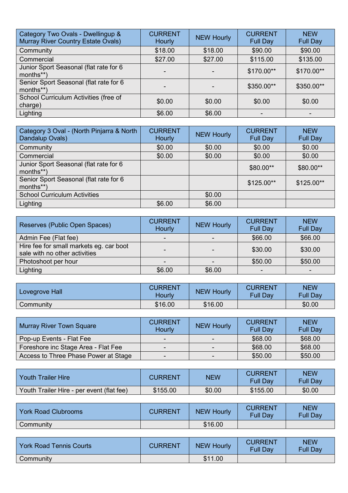| Category Two Ovals - Dwellingup &<br><b>Murray River Country Estate Ovals)</b> | <b>CURRENT</b><br><b>Hourly</b> | <b>NEW Hourly</b> | <b>CURRENT</b><br><b>Full Day</b> | <b>NEW</b><br><b>Full Day</b> |
|--------------------------------------------------------------------------------|---------------------------------|-------------------|-----------------------------------|-------------------------------|
| Community                                                                      | \$18.00                         | \$18.00           | \$90.00                           | \$90.00                       |
| Commercial                                                                     | \$27.00                         | \$27.00           | \$115.00                          | \$135.00                      |
| Junior Sport Seasonal (flat rate for 6<br>months**)                            |                                 |                   | \$170.00**                        | \$170.00**                    |
| Senior Sport Seasonal (flat rate for 6<br>months**)                            |                                 |                   | \$350.00**                        | \$350.00**                    |
| School Curriculum Activities (free of<br>charge)                               | \$0.00                          | \$0.00            | \$0.00                            | \$0.00                        |
| Lighting                                                                       | \$6.00                          | \$6.00            |                                   |                               |

| Category 3 Oval - (North Pinjarra & North<br>Dandalup Ovals) | <b>CURRENT</b><br>Hourly | <b>NEW Hourly</b> | <b>CURRENT</b><br><b>Full Day</b> | <b>NEW</b><br><b>Full Day</b> |
|--------------------------------------------------------------|--------------------------|-------------------|-----------------------------------|-------------------------------|
| Community                                                    | \$0.00                   | \$0.00            | \$0.00                            | \$0.00                        |
| Commercial                                                   | \$0.00                   | \$0.00            | \$0.00                            | \$0.00                        |
| Junior Sport Seasonal (flat rate for 6<br>months**)          |                          |                   | \$80.00**                         | \$80.00**                     |
| Senior Sport Seasonal (flat rate for 6<br>months**)          |                          |                   | $$125.00**$                       | $$125.00**$                   |
| <b>School Curriculum Activities</b>                          |                          | \$0.00            |                                   |                               |
| Lighting                                                     | \$6.00                   | \$6.00            |                                   |                               |

| Reserves (Public Open Spaces)                                            | <b>CURRENT</b><br>Hourly | <b>NEW Hourly</b> | <b>CURRENT</b><br><b>Full Day</b> | <b>NEW</b><br><b>Full Day</b> |
|--------------------------------------------------------------------------|--------------------------|-------------------|-----------------------------------|-------------------------------|
| Admin Fee (Flat fee)                                                     | $\overline{\phantom{0}}$ |                   | \$66.00                           | \$66.00                       |
| Hire fee for small markets eg. car boot<br>sale with no other activities |                          |                   | \$30.00                           | \$30.00                       |
| Photoshoot per hour                                                      |                          |                   | \$50.00                           | \$50.00                       |
| Lighting                                                                 | \$6.00                   | \$6.00            |                                   |                               |

| Lovegrove Hall | CURRENT<br>Hourlv | <b>NEW Hourly</b> | <b>CURRENT</b><br><b>Full Day</b> | <b>NEW</b><br><b>Full Day</b> |
|----------------|-------------------|-------------------|-----------------------------------|-------------------------------|
| Community      | \$16.00           | \$16.00           |                                   | \$0.00                        |

| <b>Murray River Town Square</b>      | <b>CURRENT</b><br>Hourly | <b>NEW Hourly</b> | <b>CURRENT</b><br><b>Full Day</b> | <b>NEW</b><br><b>Full Day</b> |
|--------------------------------------|--------------------------|-------------------|-----------------------------------|-------------------------------|
| Pop-up Events - Flat Fee             | $\sim$                   |                   | \$68.00                           | \$68.00                       |
| Foreshore inc Stage Area - Flat Fee  | $\sim$                   | -                 | \$68.00                           | \$68.00                       |
| Access to Three Phase Power at Stage | $\blacksquare$           | -                 | \$50.00                           | \$50.00                       |

| Youth Trailer Hire                        | CURRENT  | <b>NEW</b> | <b>CURRENT</b><br><b>Full Day</b> | <b>NEW</b><br>Full Day |
|-------------------------------------------|----------|------------|-----------------------------------|------------------------|
| Youth Trailer Hire - per event (flat fee) | \$155.00 | \$0.00     | \$155.00                          | \$0.00                 |

| <b>York Road Clubrooms</b> | CURRENT | <b>NEW Hourly</b> | <b>CURRENT</b><br><b>Full Day</b> | <b>NEW</b><br>Full Dav |
|----------------------------|---------|-------------------|-----------------------------------|------------------------|
| Community                  |         | \$16.00           |                                   |                        |

| <b>York Road Tennis Courts</b> | CURRENT | <b>NEW Hourly</b> | <b>CURRENT</b><br><b>Full Day</b> | <b>NEW</b><br><b>Full Day</b> |
|--------------------------------|---------|-------------------|-----------------------------------|-------------------------------|
| Community                      |         | \$11.00           |                                   |                               |